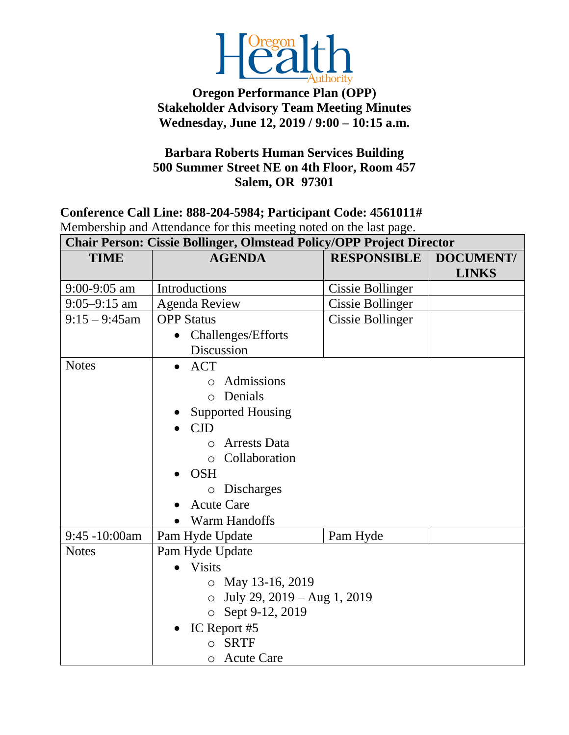

## **Oregon Performance Plan (OPP) Stakeholder Advisory Team Meeting Minutes Wednesday, June 12, 2019 / 9:00 – 10:15 a.m.**

## **Barbara Roberts Human Services Building 500 Summer Street NE on 4th Floor, Room 457 Salem, OR 97301**

## **Conference Call Line: 888-204-5984; Participant Code: 4561011#** Membership and Attendance for this meeting noted on the last page.

|  |  | <b>Chair Person: Cissie Bollinger, Olmstead Policy/OPP Project Director</b> |
|--|--|-----------------------------------------------------------------------------|
|  |  |                                                                             |

| <b>TIME</b>      | <b>AGENDA</b>                                                                                        | <b>RESPONSIBLE</b>      | <b>DOCUMENT/</b><br><b>LINKS</b> |  |  |
|------------------|------------------------------------------------------------------------------------------------------|-------------------------|----------------------------------|--|--|
| $9:00-9:05$ am   | Introductions                                                                                        | Cissie Bollinger        |                                  |  |  |
| $9:05 - 9:15$ am |                                                                                                      |                         |                                  |  |  |
|                  | <b>Agenda Review</b>                                                                                 | <b>Cissie Bollinger</b> |                                  |  |  |
| $9:15 - 9:45$ am | <b>OPP</b> Status                                                                                    | Cissie Bollinger        |                                  |  |  |
|                  | Challenges/Efforts<br>$\bullet$                                                                      |                         |                                  |  |  |
|                  | Discussion                                                                                           |                         |                                  |  |  |
| <b>Notes</b>     | <b>ACT</b>                                                                                           |                         |                                  |  |  |
|                  | Admissions<br>$\circ$                                                                                |                         |                                  |  |  |
|                  | Denials<br>$\circ$                                                                                   |                         |                                  |  |  |
|                  | <b>Supported Housing</b>                                                                             |                         |                                  |  |  |
|                  | CJD                                                                                                  |                         |                                  |  |  |
|                  | <b>Arrests Data</b><br>$\circ$                                                                       |                         |                                  |  |  |
|                  | Collaboration<br>$\Omega$                                                                            |                         |                                  |  |  |
|                  | <b>OSH</b><br><b>Discharges</b><br>$\circ$                                                           |                         |                                  |  |  |
|                  |                                                                                                      |                         |                                  |  |  |
|                  | <b>Acute Care</b><br>Warm Handoffs                                                                   |                         |                                  |  |  |
|                  |                                                                                                      |                         |                                  |  |  |
|                  |                                                                                                      |                         |                                  |  |  |
| 9:45 -10:00am    | Pam Hyde Update<br>Pam Hyde                                                                          |                         |                                  |  |  |
| <b>Notes</b>     | Pam Hyde Update                                                                                      |                         |                                  |  |  |
|                  | <b>Visits</b>                                                                                        |                         |                                  |  |  |
|                  | $\circ$ May 13-16, 2019<br>July 29, $2019 - Aug 1, 2019$<br>$\circ$<br>Sept 9-12, 2019<br>$\bigcirc$ |                         |                                  |  |  |
|                  |                                                                                                      |                         |                                  |  |  |
|                  |                                                                                                      |                         |                                  |  |  |
|                  | IC Report #5                                                                                         |                         |                                  |  |  |
|                  | <b>SRTF</b><br>$\circ$                                                                               |                         |                                  |  |  |
|                  | <b>Acute Care</b><br>$\circ$                                                                         |                         |                                  |  |  |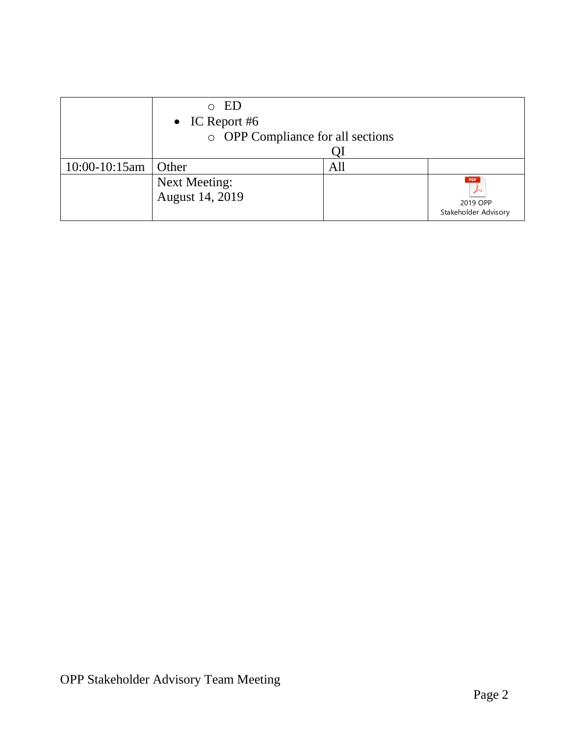|                    | $\circ$ ED                        |     |                      |  |
|--------------------|-----------------------------------|-----|----------------------|--|
|                    | • IC Report #6                    |     |                      |  |
|                    | o OPP Compliance for all sections |     |                      |  |
|                    |                                   |     |                      |  |
| $10:00 - 10:15$ am | Other                             | All |                      |  |
|                    | <b>Next Meeting:</b>              |     | PDF                  |  |
|                    | August 14, 2019                   |     | 2019 OPP             |  |
|                    |                                   |     | Stakeholder Advisory |  |